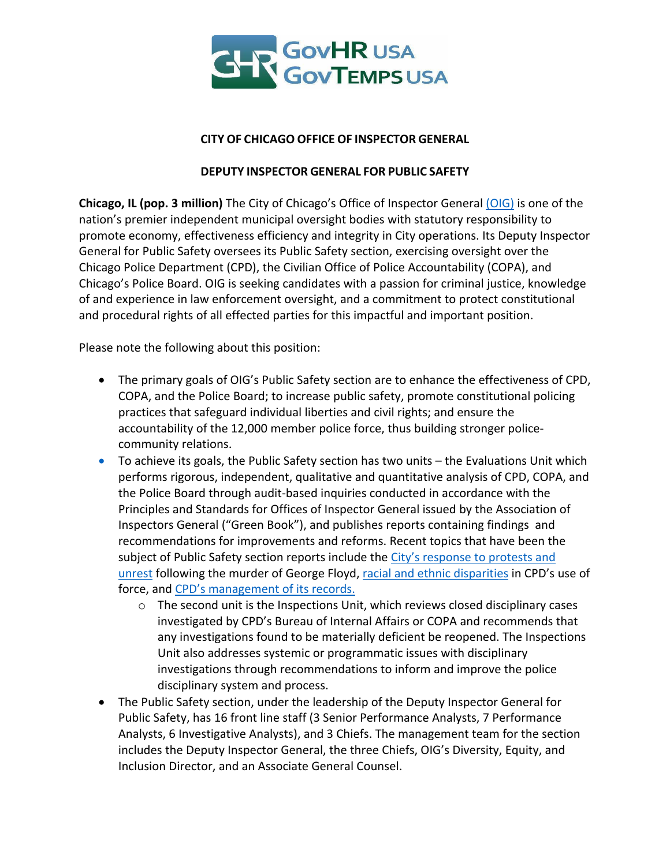

### **CITY OF CHICAGO OFFICE OF INSPECTOR GENERAL**

### **DEPUTY INSPECTOR GENERAL FOR PUBLIC SAFETY**

**Chicago, IL (pop. 3 million)** The City of Chicago's Office of Inspector General (OIG) is one of the nation's premier independent municipal oversight bodies with statutory responsibility to promote economy, effectiveness efficiency and integrity in City operations. Its Deputy Inspector General for Public Safety oversees its Public Safety section, exercising oversight over the Chicago Police Department (CPD), the Civilian Office of Police Accountability (COPA), and Chicago's Police Board. OIG is seeking candidates with a passion for criminal justice, knowledge of and experience in law enforcement oversight, and a commitment to protect constitutional and procedural rights of all effected parties for this impactful and important position.

Please note the following about this position:

- The primary goals of OIG's Public Safety section are to enhance the effectiveness of CPD, COPA, and the Police Board; to increase public safety, promote constitutional policing practices that safeguard individual liberties and civil rights; and ensure the accountability of the 12,000 member police force, thus building stronger policecommunity relations.
- To achieve its goals, the Public Safety section has two units the Evaluations Unit which performs rigorous, independent, qualitative and quantitative analysis of CPD, COPA, and the Police Board through audit-based inquiries conducted in accordance with the Principles and Standards for Offices of Inspector General issued by the Association of Inspectors General ("Green Book"), and publishes reports containing findings and recommendations for improvements and reforms. Recent topics that have been the subject of Public Safety section reports include the City's response to protests and unrest following the murder of George Floyd, racial and ethnic disparities in CPD's use of force, and CPD's management of its records.
	- o The second unit is the Inspections Unit, which reviews closed disciplinary cases investigated by CPD's Bureau of Internal Affairs or COPA and recommends that any investigations found to be materially deficient be reopened. The Inspections Unit also addresses systemic or programmatic issues with disciplinary investigations through recommendations to inform and improve the police disciplinary system and process.
- The Public Safety section, under the leadership of the Deputy Inspector General for Public Safety, has 16 front line staff (3 Senior Performance Analysts, 7 Performance Analysts, 6 Investigative Analysts), and 3 Chiefs. The management team for the section includes the Deputy Inspector General, the three Chiefs, OIG's Diversity, Equity, and Inclusion Director, and an Associate General Counsel.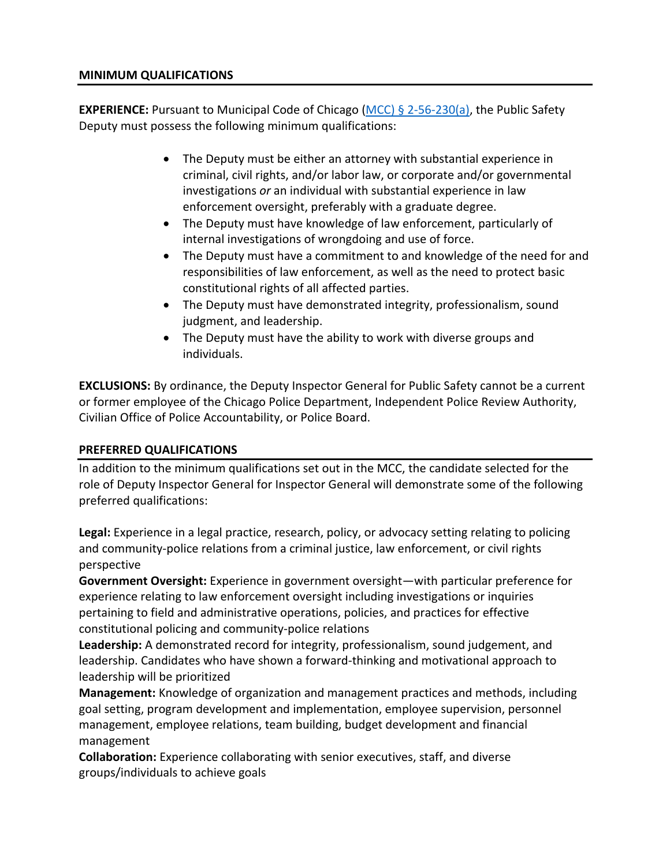#### **MINIMUM QUALIFICATIONS**

**EXPERIENCE:** Pursuant to Municipal Code of Chicago (MCC) § 2-56-230(a), the Public Safety Deputy must possess the following minimum qualifications:

- The Deputy must be either an attorney with substantial experience in criminal, civil rights, and/or labor law, or corporate and/or governmental investigations *or* an individual with substantial experience in law enforcement oversight, preferably with a graduate degree.
- The Deputy must have knowledge of law enforcement, particularly of internal investigations of wrongdoing and use of force.
- The Deputy must have a commitment to and knowledge of the need for and responsibilities of law enforcement, as well as the need to protect basic constitutional rights of all affected parties.
- The Deputy must have demonstrated integrity, professionalism, sound judgment, and leadership.
- The Deputy must have the ability to work with diverse groups and individuals.

**EXCLUSIONS:** By ordinance, the Deputy Inspector General for Public Safety cannot be a current or former employee of the Chicago Police Department, Independent Police Review Authority, Civilian Office of Police Accountability, or Police Board.

## **PREFERRED QUALIFICATIONS**

In addition to the minimum qualifications set out in the MCC, the candidate selected for the role of Deputy Inspector General for Inspector General will demonstrate some of the following preferred qualifications:

**Legal:** Experience in a legal practice, research, policy, or advocacy setting relating to policing and community-police relations from a criminal justice, law enforcement, or civil rights perspective

**Government Oversight:** Experience in government oversight—with particular preference for experience relating to law enforcement oversight including investigations or inquiries pertaining to field and administrative operations, policies, and practices for effective constitutional policing and community-police relations

**Leadership:** A demonstrated record for integrity, professionalism, sound judgement, and leadership. Candidates who have shown a forward-thinking and motivational approach to leadership will be prioritized

**Management:** Knowledge of organization and management practices and methods, including goal setting, program development and implementation, employee supervision, personnel management, employee relations, team building, budget development and financial management

**Collaboration:** Experience collaborating with senior executives, staff, and diverse groups/individuals to achieve goals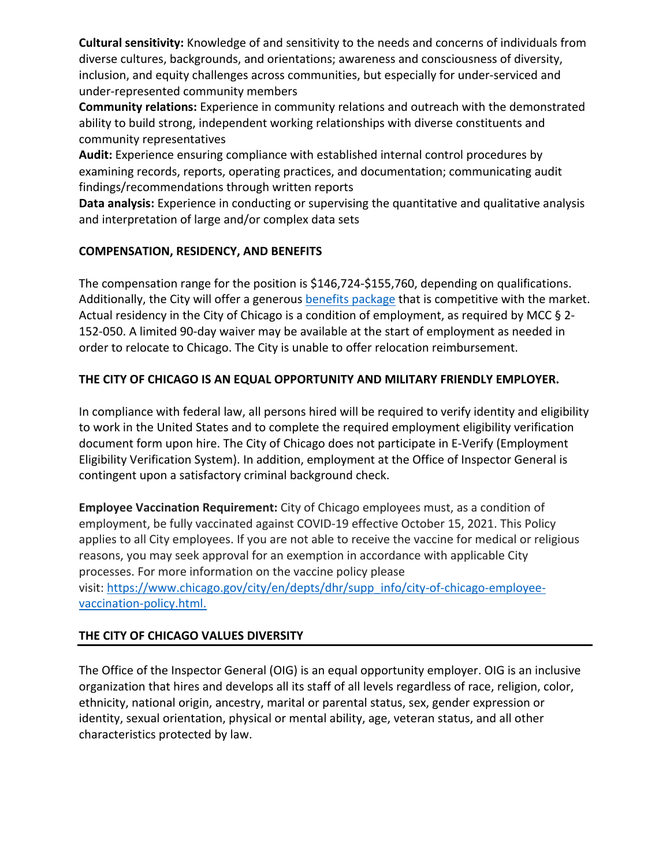**Cultural sensitivity:** Knowledge of and sensitivity to the needs and concerns of individuals from diverse cultures, backgrounds, and orientations; awareness and consciousness of diversity, inclusion, and equity challenges across communities, but especially for under-serviced and under-represented community members

**Community relations:** Experience in community relations and outreach with the demonstrated ability to build strong, independent working relationships with diverse constituents and community representatives

**Audit:** Experience ensuring compliance with established internal control procedures by examining records, reports, operating practices, and documentation; communicating audit findings/recommendations through written reports

**Data analysis:** Experience in conducting or supervising the quantitative and qualitative analysis and interpretation of large and/or complex data sets

# **COMPENSATION, RESIDENCY, AND BENEFITS**

The compensation range for the position is \$146,724-\$155,760, depending on qualifications. Additionally, the City will offer a generous benefits package that is competitive with the market. Actual residency in the City of Chicago is a condition of employment, as required by MCC § 2-152-050. A limited 90-day waiver may be available at the start of employment as needed in order to relocate to Chicago. The City is unable to offer relocation reimbursement.

# **THE CITY OF CHICAGO IS AN EQUAL OPPORTUNITY AND MILITARY FRIENDLY EMPLOYER.**

In compliance with federal law, all persons hired will be required to verify identity and eligibility to work in the United States and to complete the required employment eligibility verification document form upon hire. The City of Chicago does not participate in E-Verify (Employment Eligibility Verification System). In addition, employment at the Office of Inspector General is contingent upon a satisfactory criminal background check.

**Employee Vaccination Requirement:** City of Chicago employees must, as a condition of employment, be fully vaccinated against COVID-19 effective October 15, 2021. This Policy applies to all City employees. If you are not able to receive the vaccine for medical or religious reasons, you may seek approval for an exemption in accordance with applicable City processes. For more information on the vaccine policy please visit: https://www.chicago.gov/city/en/depts/dhr/supp\_info/city-of-chicago-employeevaccination-policy.html.

## **THE CITY OF CHICAGO VALUES DIVERSITY**

The Office of the Inspector General (OIG) is an equal opportunity employer. OIG is an inclusive organization that hires and develops all its staff of all levels regardless of race, religion, color, ethnicity, national origin, ancestry, marital or parental status, sex, gender expression or identity, sexual orientation, physical or mental ability, age, veteran status, and all other characteristics protected by law.